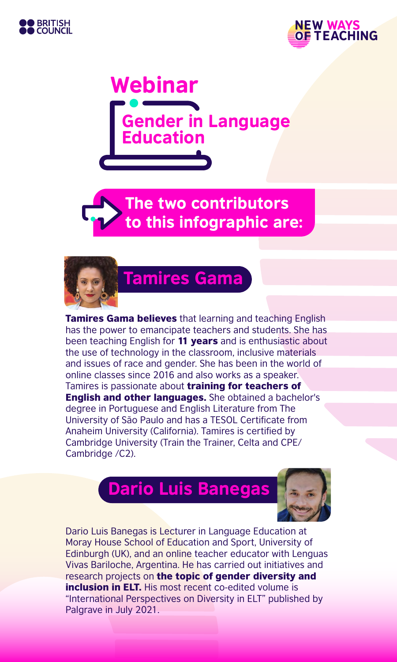





The two contributors to this infographic are:



# Tamires Gama

**Tamires Gama believes** that learning and teaching English has the power to emancipate teachers and students. She has been teaching English for 11 years and is enthusiastic about the use of technology in the classroom, inclusive materials and issues of race and gender. She has been in the world of online classes since 2016 and also works as a speaker. Tamires is passionate about **training for teachers of** English and other languages. She obtained a bachelor's degree in Portuguese and English Literature from The University of São Paulo and has a TESOL Certificate from Anaheim University (California). Tamires is certified by Cambridge University (Train the Trainer, Celta and CPE/ Cambridge /C2).

## Dario Luis Banegas



Dario Luis Banegas is Lecturer in Language Education at Moray House School of Education and Sport, University of Edinburgh (UK), and an online teacher educator with Lenguas Vivas Bariloche, Argentina. He has carried out initiatives and research projects on the topic of gender diversity and **inclusion in ELT.** His most recent co-edited volume is "International Perspectives on Diversity in ELT" published by Palgrave in July 2021.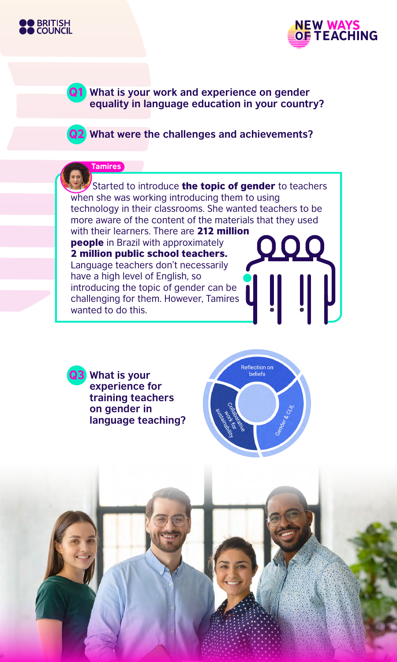



Q1 **What is your work and experience on gender equality in language education in your country?**

Q2 **What were the challenges and achievements?**

#### **Tamires**

Started to introduce **the topic of gender** to teachers when she was working introducing them to using technology in their classrooms. She wanted teachers to be more aware of the content of the materials that they used with their learners. There are 212 million people in Brazil with approximately 2 million public school teachers. Language teachers don't necessarily have a high level of English, so

introducing the topic of gender can be challenging for them. However, Tamires wanted to do this.

**What is your experience for training teachers on gender in language teaching?**

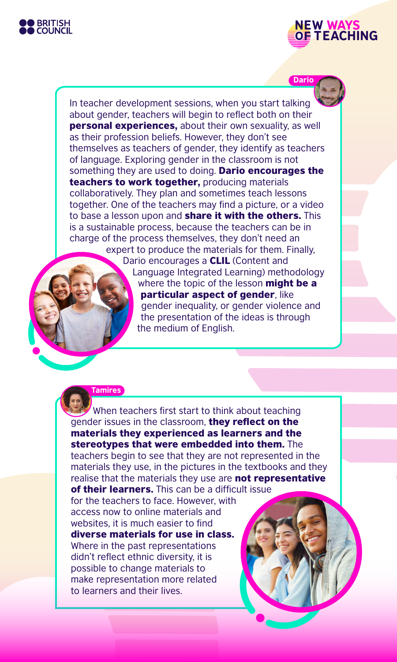



In teacher development sessions, when you start talking about gender, teachers will begin to reflect both on their personal experiences, about their own sexuality, as well as their profession beliefs. However, they don't see themselves as teachers of gender, they identify as teachers of language. Exploring gender in the classroom is not something they are used to doing. **Dario encourages the** teachers to work together, producing materials collaboratively. They plan and sometimes teach lessons together. One of the teachers may find a picture, or a video to base a lesson upon and **share it with the others.** This is a sustainable process, because the teachers can be in charge of the process themselves, they don't need an expert to produce the materials for them. Finally, Dario encourages a **CLIL** (Content and Language Integrated Learning) methodology where the topic of the lesson might be a particular aspect of gender, like gender inequality, or gender violence and

the presentation of the ideas is through

#### **Tamires**

When teachers first start to think about teaching gender issues in the classroom, they reflect on the materials they experienced as learners and the stereotypes that were embedded into them. The teachers begin to see that they are not represented in the materials they use, in the pictures in the textbooks and they realise that the materials they use are **not representative** of their learners. This can be a difficult issue

the medium of English.

for the teachers to face. However, with access now to online materials and websites, it is much easier to find diverse materials for use in class. Where in the past representations didn't reflect ethnic diversity, it is possible to change materials to make representation more related to learners and their lives.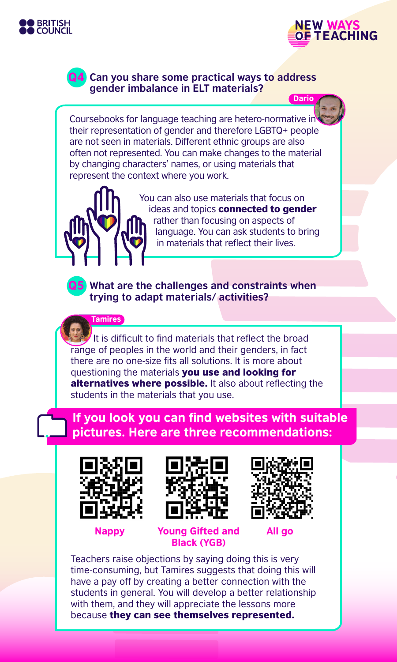



#### Q4 **Can you share some practical ways to address gender imbalance in ELT materials?**

Coursebooks for language teaching are hetero-normative in their representation of gender and therefore LGBTQ+ people are not seen in materials. Different ethnic groups are also often not represented. You can make changes to the material by changing characters' names, or using materials that represent the context where you work.



You can also use materials that focus on ideas and topics **connected to gender** rather than focusing on aspects of language. You can ask students to bring in materials that reflect their lives.



Q5 **What are the challenges and constraints when trying to adapt materials/ activities?**

**Tamires** 

It is difficult to find materials that reflect the broad range of peoples in the world and their genders, in fact there are no one-size fits all solutions. It is more about questioning the materials you use and looking for alternatives where possible. It also about reflecting the students in the materials that you use.

### If you look you can find websites with suitable pictures. Here are three recommendations:







Nappy Young Gifted and Black (YGB)

All go

Teachers raise objections by saying doing this is very time-consuming, but Tamires suggests that doing this will have a pay off by creating a better connection with the students in general. You will develop a better relationship with them, and they will appreciate the lessons more because they can see themselves represented.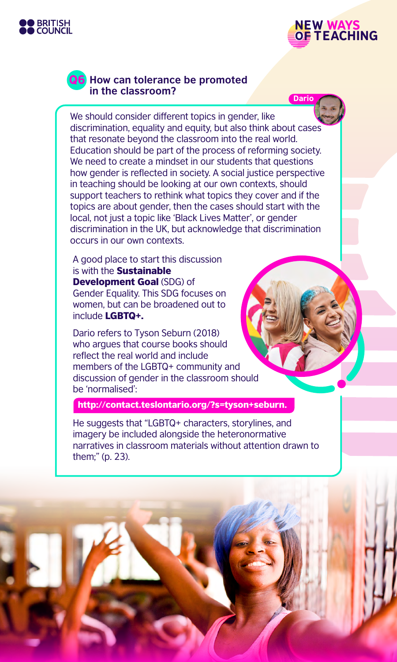





#### Q6 **How can tolerance be promoted in the classroom?**

We should consider different topics in gender, like discrimination, equality and equity, but also think about cases that resonate beyond the classroom into the real world. Education should be part of the process of reforming society. We need to create a mindset in our students that questions how gender is reflected in society. A social justice perspective in teaching should be looking at our own contexts, should support teachers to rethink what topics they cover and if the topics are about gender, then the cases should start with the local, not just a topic like 'Black Lives Matter', or gender discrimination in the UK, but acknowledge that discrimination occurs in our own contexts.

A good place to start this discussion is with the **Sustainable Development Goal (SDG) of** Gender Equality. This SDG focuses on women, but can be broadened out to include LGBTQ+.

Dario refers to Tyson Seburn (2018) who argues that course books should reflect the real world and include members of the LGBTQ+ community and discussion of gender in the classroom should be 'normalised':

http://contact.teslontario.org/?s=tyson+seburn.

He suggests that "LGBTQ+ characters, storylines, and imagery be included alongside the heteronormative narratives in classroom materials without attention drawn to them;" (p. 23).